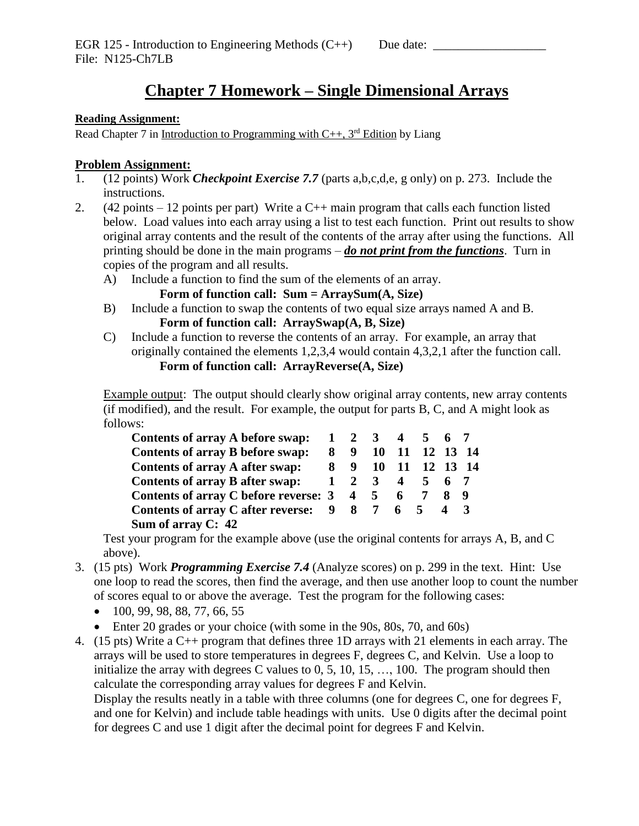## **Chapter 7 Homework – Single Dimensional Arrays**

## **Reading Assignment:**

Read Chapter 7 in Introduction to Programming with  $C_{++}$ ,  $3<sup>rd</sup>$  Edition by Liang

## **Problem Assignment:**

- 1. (12 points) Work *Checkpoint Exercise 7.7* (parts a,b,c,d,e, g only) on p. 273. Include the instructions.
- 2.  $(42 \text{ points} 12 \text{ points per part})$  Write a C++ main program that calls each function listed below. Load values into each array using a list to test each function. Print out results to show original array contents and the result of the contents of the array after using the functions. All printing should be done in the main programs – *do not print from the functions*. Turn in copies of the program and all results.
	- A) Include a function to find the sum of the elements of an array.
		- **Form of function call: Sum = ArraySum(A, Size)**
	- B) Include a function to swap the contents of two equal size arrays named A and B. **Form of function call: ArraySwap(A, B, Size)**
	- C) Include a function to reverse the contents of an array. For example, an array that originally contained the elements 1,2,3,4 would contain 4,3,2,1 after the function call. **Form of function call: ArrayReverse(A, Size)**

Example output: The output should clearly show original array contents, new array contents (if modified), and the result. For example, the output for parts B, C, and A might look as follows:

| Contents of array A before swap:         |    |            |                         | $\overline{\mathbf{4}}$ |             | 5 6 7 |          |
|------------------------------------------|----|------------|-------------------------|-------------------------|-------------|-------|----------|
| <b>Contents of array B before swap:</b>  | 8. | -9         | 10                      |                         | 11 12 13 14 |       |          |
| Contents of array A after swap:          |    |            | 8 9 10                  |                         | 11 12 13 14 |       |          |
| <b>Contents of array B after swap:</b>   |    | $1\quad 2$ | $\overline{\mathbf{3}}$ | $\overline{\mathbf{4}}$ | 5 6 7       |       |          |
| Contents of array C before reverse: 3 4  |    |            | 5                       |                         | 6 7         |       | <b>g</b> |
| Contents of array C after reverse: 9 8 7 |    |            |                         |                         | 6 5 4       |       |          |
| Sum of array C: 42                       |    |            |                         |                         |             |       |          |

Test your program for the example above (use the original contents for arrays A, B, and C above).

- 3. (15 pts) Work *Programming Exercise 7.4* (Analyze scores) on p. 299 in the text. Hint: Use one loop to read the scores, then find the average, and then use another loop to count the number of scores equal to or above the average. Test the program for the following cases:
	- $\bullet$  100, 99, 98, 88, 77, 66, 55
	- Enter 20 grades or your choice (with some in the 90s, 80s, 70, and 60s)
- 4. (15 pts) Write a C++ program that defines three 1D arrays with 21 elements in each array. The arrays will be used to store temperatures in degrees F, degrees C, and Kelvin. Use a loop to initialize the array with degrees C values to  $0, 5, 10, 15, \ldots, 100$ . The program should then calculate the corresponding array values for degrees F and Kelvin.

Display the results neatly in a table with three columns (one for degrees C, one for degrees F, and one for Kelvin) and include table headings with units. Use 0 digits after the decimal point for degrees C and use 1 digit after the decimal point for degrees F and Kelvin.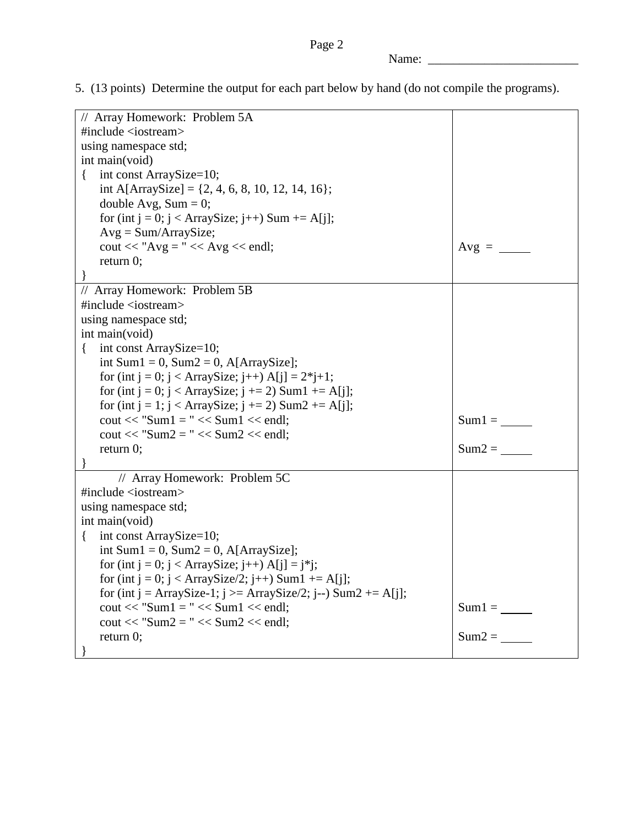Page 2

Name: \_\_\_\_\_\_\_\_\_\_\_\_\_\_\_\_\_\_\_\_\_\_\_\_

5. (13 points) Determine the output for each part below by hand (do not compile the programs).

| // Array Homework: Problem 5A                                              |          |
|----------------------------------------------------------------------------|----------|
| #include <iostream></iostream>                                             |          |
| using namespace std;                                                       |          |
| int main(void)                                                             |          |
| int const ArraySize=10;<br>$\{$                                            |          |
| int A[ArraySize] = $\{2, 4, 6, 8, 10, 12, 14, 16\};$                       |          |
| double Avg, $Sum = 0$ ;                                                    |          |
| for (int j = 0; j < ArraySize; j++) Sum += A[j];                           |          |
| $Avg = Sum/ArraySize;$                                                     |          |
| $\text{cout} \ll \text{"Avg} = \text{"} \ll \text{Avg} \ll \text{end};$    | $Avg =$  |
| return $0$ ;                                                               |          |
|                                                                            |          |
| // Array Homework: Problem 5B                                              |          |
| #include <iostream></iostream>                                             |          |
| using namespace std;                                                       |          |
| int main(void)                                                             |          |
| int const ArraySize=10;<br>₹                                               |          |
| int Sum1 = 0, Sum2 = 0, A[ArraySize];                                      |          |
| for (int j = 0; j < ArraySize; j++) A[j] = $2*$ j+1;                       |          |
| for (int j = 0; j < ArraySize; j += 2) Sum1 += A[j];                       |          |
| for (int j = 1; j < ArraySize; j += 2) Sum2 += A[j];                       |          |
| $\text{cout} \ll \text{"Sum1} = \text{"} \ll \text{Sum1} \ll \text{end!};$ | $Sum1 =$ |
| $\text{cout} \ll \text{"Sum2} = \text{"} \ll \text{Sum2} \ll \text{end}$ ; |          |
| return $0$ ;                                                               | $Sum2 =$ |
|                                                                            |          |
| // Array Homework: Problem 5C                                              |          |
| #include <iostream></iostream>                                             |          |
| using namespace std;                                                       |          |
| int main(void)                                                             |          |
| int const ArraySize=10;<br>$\{$                                            |          |
| int Sum1 = 0, Sum2 = 0, A[ArraySize];                                      |          |
| for (int j = 0; j < ArraySize; j++) A[j] = j*j;                            |          |
| for (int j = 0; j < ArraySize/2; j++) Sum1 += A[j];                        |          |
| for (int j = ArraySize-1; j >= ArraySize/2; j--) Sum2 += A[j];             |          |
| $\text{cout} \ll \text{"Sum1} = \text{"} \ll \text{Sum1} \ll \text{end!};$ |          |
| $\text{cout} \ll \text{"Sum2} = \text{"} \ll \text{Sum2} \ll \text{end}$   |          |
| return $0$ ;                                                               | $Sum2 =$ |
|                                                                            |          |